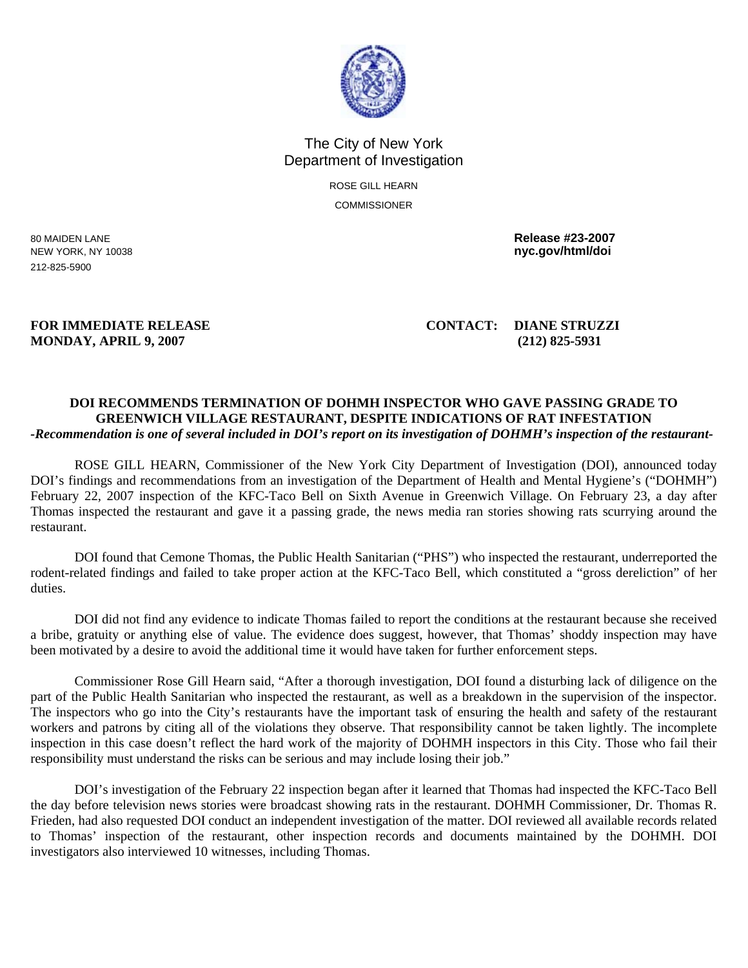

## The City of New York Department of Investigation

ROSE GILL HEARN **COMMISSIONER** 

212-825-5900

80 MAIDEN LANE **Release #23-2007**  NEW YORK, NY 10038 **nyc.gov/html/doi** 

## **MONDAY, APRIL 9, 2007 (212) 825-5931**

**FOR IMMEDIATE RELEASE CONTACT: DIANE STRUZZI** 

## **DOI RECOMMENDS TERMINATION OF DOHMH INSPECTOR WHO GAVE PASSING GRADE TO GREENWICH VILLAGE RESTAURANT, DESPITE INDICATIONS OF RAT INFESTATION**  *-Recommendation is one of several included in DOI's report on its investigation of DOHMH's inspection of the restaurant-*

 ROSE GILL HEARN, Commissioner of the New York City Department of Investigation (DOI), announced today DOI's findings and recommendations from an investigation of the Department of Health and Mental Hygiene's ("DOHMH") February 22, 2007 inspection of the KFC-Taco Bell on Sixth Avenue in Greenwich Village. On February 23, a day after Thomas inspected the restaurant and gave it a passing grade, the news media ran stories showing rats scurrying around the restaurant.

 DOI found that Cemone Thomas, the Public Health Sanitarian ("PHS") who inspected the restaurant, underreported the rodent-related findings and failed to take proper action at the KFC-Taco Bell, which constituted a "gross dereliction" of her duties.

 DOI did not find any evidence to indicate Thomas failed to report the conditions at the restaurant because she received a bribe, gratuity or anything else of value. The evidence does suggest, however, that Thomas' shoddy inspection may have been motivated by a desire to avoid the additional time it would have taken for further enforcement steps.

 Commissioner Rose Gill Hearn said, "After a thorough investigation, DOI found a disturbing lack of diligence on the part of the Public Health Sanitarian who inspected the restaurant, as well as a breakdown in the supervision of the inspector. The inspectors who go into the City's restaurants have the important task of ensuring the health and safety of the restaurant workers and patrons by citing all of the violations they observe. That responsibility cannot be taken lightly. The incomplete inspection in this case doesn't reflect the hard work of the majority of DOHMH inspectors in this City. Those who fail their responsibility must understand the risks can be serious and may include losing their job."

DOI's investigation of the February 22 inspection began after it learned that Thomas had inspected the KFC-Taco Bell the day before television news stories were broadcast showing rats in the restaurant. DOHMH Commissioner, Dr. Thomas R. Frieden, had also requested DOI conduct an independent investigation of the matter. DOI reviewed all available records related to Thomas' inspection of the restaurant, other inspection records and documents maintained by the DOHMH. DOI investigators also interviewed 10 witnesses, including Thomas.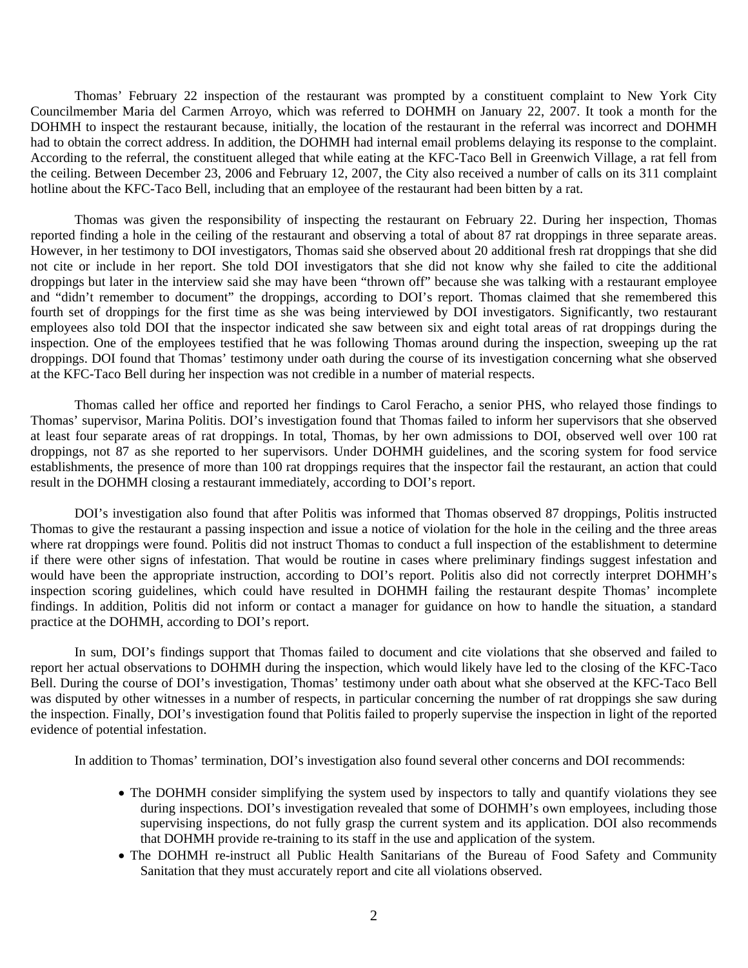Thomas' February 22 inspection of the restaurant was prompted by a constituent complaint to New York City Councilmember Maria del Carmen Arroyo, which was referred to DOHMH on January 22, 2007. It took a month for the DOHMH to inspect the restaurant because, initially, the location of the restaurant in the referral was incorrect and DOHMH had to obtain the correct address. In addition, the DOHMH had internal email problems delaying its response to the complaint. According to the referral, the constituent alleged that while eating at the KFC-Taco Bell in Greenwich Village, a rat fell from the ceiling. Between December 23, 2006 and February 12, 2007, the City also received a number of calls on its 311 complaint hotline about the KFC-Taco Bell, including that an employee of the restaurant had been bitten by a rat.

Thomas was given the responsibility of inspecting the restaurant on February 22. During her inspection, Thomas reported finding a hole in the ceiling of the restaurant and observing a total of about 87 rat droppings in three separate areas. However, in her testimony to DOI investigators, Thomas said she observed about 20 additional fresh rat droppings that she did not cite or include in her report. She told DOI investigators that she did not know why she failed to cite the additional droppings but later in the interview said she may have been "thrown off" because she was talking with a restaurant employee and "didn't remember to document" the droppings, according to DOI's report. Thomas claimed that she remembered this fourth set of droppings for the first time as she was being interviewed by DOI investigators. Significantly, two restaurant employees also told DOI that the inspector indicated she saw between six and eight total areas of rat droppings during the inspection. One of the employees testified that he was following Thomas around during the inspection, sweeping up the rat droppings. DOI found that Thomas' testimony under oath during the course of its investigation concerning what she observed at the KFC-Taco Bell during her inspection was not credible in a number of material respects.

Thomas called her office and reported her findings to Carol Feracho, a senior PHS, who relayed those findings to Thomas' supervisor, Marina Politis. DOI's investigation found that Thomas failed to inform her supervisors that she observed at least four separate areas of rat droppings. In total, Thomas, by her own admissions to DOI, observed well over 100 rat droppings, not 87 as she reported to her supervisors. Under DOHMH guidelines, and the scoring system for food service establishments, the presence of more than 100 rat droppings requires that the inspector fail the restaurant, an action that could result in the DOHMH closing a restaurant immediately, according to DOI's report.

DOI's investigation also found that after Politis was informed that Thomas observed 87 droppings, Politis instructed Thomas to give the restaurant a passing inspection and issue a notice of violation for the hole in the ceiling and the three areas where rat droppings were found. Politis did not instruct Thomas to conduct a full inspection of the establishment to determine if there were other signs of infestation. That would be routine in cases where preliminary findings suggest infestation and would have been the appropriate instruction, according to DOI's report. Politis also did not correctly interpret DOHMH's inspection scoring guidelines, which could have resulted in DOHMH failing the restaurant despite Thomas' incomplete findings. In addition, Politis did not inform or contact a manager for guidance on how to handle the situation, a standard practice at the DOHMH, according to DOI's report.

In sum, DOI's findings support that Thomas failed to document and cite violations that she observed and failed to report her actual observations to DOHMH during the inspection, which would likely have led to the closing of the KFC-Taco Bell. During the course of DOI's investigation, Thomas' testimony under oath about what she observed at the KFC-Taco Bell was disputed by other witnesses in a number of respects, in particular concerning the number of rat droppings she saw during the inspection. Finally, DOI's investigation found that Politis failed to properly supervise the inspection in light of the reported evidence of potential infestation.

In addition to Thomas' termination, DOI's investigation also found several other concerns and DOI recommends:

- The DOHMH consider simplifying the system used by inspectors to tally and quantify violations they see during inspections. DOI's investigation revealed that some of DOHMH's own employees, including those supervising inspections, do not fully grasp the current system and its application. DOI also recommends that DOHMH provide re-training to its staff in the use and application of the system.
- The DOHMH re-instruct all Public Health Sanitarians of the Bureau of Food Safety and Community Sanitation that they must accurately report and cite all violations observed.